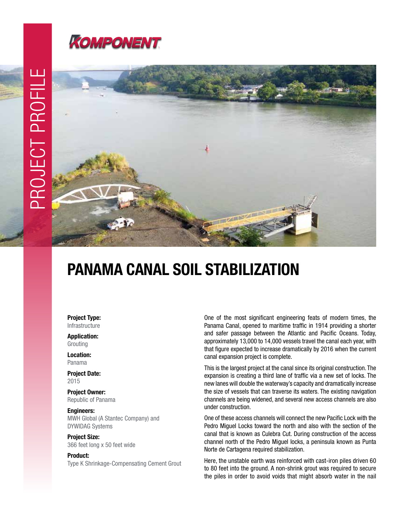



## PANAMA CANAL SOIL STABILIZATION

Project Type: Infrastructure

Application: Grouting

Location: Panama

Project Date: 2015

Project Owner: Republic of Panama

Engineers: MWH Global (A Stantec Company) and DYWIDAG Systems

Project Size: 366 feet long x 50 feet wide

Product: Type K Shrinkage-Compensating Cement Grout One of the most significant engineering feats of modern times, the Panama Canal, opened to maritime traffic in 1914 providing a shorter and safer passage between the Atlantic and Pacific Oceans. Today, approximately 13,000 to 14,000 vessels travel the canal each year, with that figure expected to increase dramatically by 2016 when the current canal expansion project is complete.

This is the largest project at the canal since its original construction. The expansion is creating a third lane of traffic via a new set of locks. The new lanes will double the waterway's capacity and dramatically increase the size of vessels that can traverse its waters. The existing navigation channels are being widened, and several new access channels are also under construction.

One of these access channels will connect the new Pacific Lock with the Pedro Miguel Locks toward the north and also with the section of the canal that is known as Culebra Cut. During construction of the access channel north of the Pedro Miguel locks, a peninsula known as Punta Norte de Cartagena required stabilization.

Here, the unstable earth was reinforced with cast-iron piles driven 60 to 80 feet into the ground. A non-shrink grout was required to secure the piles in order to avoid voids that might absorb water in the nail